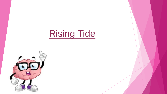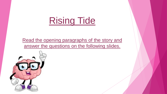Read the opening paragraphs of the story and answer the questions on the following slides.

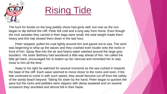

The hunt for fossils on the long pebbly shore had gone well, but now as the sun began to dip behind the cliff, Peter felt cold and a long way from home. Even though the rock samples they carried in their bags were small, the total weight made them heavy and this had slowed them down in the last hour.

Peter stopped, pulled his coat tightly around him and gazed out to sea. The wind was beginning to whip up the waves and they crashed even louder onto the rocks in front of him. Spray flew into the air and foamy water washed around the large grey boulders. His sister Bethany had wandered a little way ahead of him. He called the little girl back, encouraged her to button up her raincoat and reminded her to stay close to him all the time.

Away to his right he watched for several moments as the sea rushed in towards the base of the cliff. Each wave seemed to move closer to the rocks and soon, if the tide continued to come in with such speed, they would become cut off from the safety of the sandy beach beyond. Taking his sister by the hand, Peter began to quicken the pace but the rocks and pebbles were slippery with damp seaweed and on several occasions they stumbled and almost fell in their haste.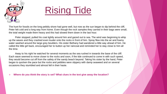

The hunt for fossils on the long pebbly shore had gone well, but now as the sun began to dip behind the cliff, Peter felt cold and a long way from home. Even though the rock samples they carried in their bags were small, the total weight made them heavy and this had slowed them down in the last hour.

Peter stopped, pulled his coat tightly around him and gazed out to sea. The wind was beginning to whip up the waves and they crashed even louder onto the rocks in front of him. Spray flew into the air and foamy water washed around the large grey boulders. His sister Bethany had wandered a little way ahead of him. He called the little girl back, encouraged her to button up her raincoat and reminded her to stay close to him all the time.

Away to his right he watched for several moments as the sea rushed in towards the base of the cliff. Each wave seemed to move closer to the rocks and soon, if the tide continued to come in with such speed, they would become cut off from the safety of the sandy beach beyond. Taking his sister by the hand, Peter began to quicken the pace but the rocks and pebbles were slippery with damp seaweed and on several occasions they stumbled and almost fell in their haste.

❖ **Where do you think the story is set? What clues in the text give away the location?**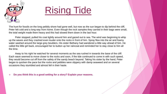

The hunt for fossils on the long pebbly shore had gone well, but now as the sun began to dip behind the cliff, Peter felt cold and a long way from home. Even though the rock samples they carried in their bags were small, the total weight made them heavy and this had slowed them down in the last hour.

Peter stopped, pulled his coat tightly around him and gazed out to sea. The wind was beginning to whip up the waves and they crashed even louder onto the rocks in front of him. Spray flew into the air and foamy water washed around the large grey boulders. His sister Bethany had wandered a little way ahead of him. He called the little girl back, encouraged her to button up her raincoat and reminded her to stay close to him all the time.

Away to his right he watched for several moments as the sea rushed in towards the base of the cliff. Each wave seemed to move closer to the rocks and soon, if the tide continued to come in with such speed, they would become cut off from the safety of the sandy beach beyond. Taking his sister by the hand, Peter began to quicken the pace but the rocks and pebbles were slippery with damp seaweed and on several occasions they stumbled and almost fell in their haste.

❖ **Do you think this is a good setting for a story? Explain your reasons.**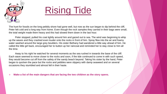

The hunt for fossils on the long pebbly shore had gone well, but now as the sun began to dip behind the cliff, Peter felt cold and a long way from home. Even though the rock samples they carried in their bags were small, the total weight made them heavy and this had slowed them down in the last hour.

Peter stopped, pulled his coat tightly around him and gazed out to sea. The wind was beginning to whip up the waves and they crashed even louder onto the rocks in front of him. Spray flew into the air and foamy water washed around the large grey boulders. His sister Bethany had wandered a little way ahead of him. He called the little girl back, encouraged her to button up her raincoat and reminded her to stay close to him all the time.

Away to his right he watched for several moments as the sea rushed in towards the base of the cliff. Each wave seemed to move closer to the rocks and soon, if the tide continued to come in with such speed, they would become cut off from the safety of the sandy beach beyond. Taking his sister by the hand, Peter began to quicken the pace but the rocks and pebbles were slippery with damp seaweed and on several occasions they stumbled and almost fell in their haste.

❖ **Make a list of the main dangers that are facing the two children as the story opens.**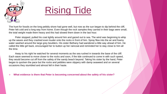

The hunt for fossils on the long pebbly shore had gone well, but now as the sun began to dip behind the cliff, Peter felt cold and a long way from home. Even though the rock samples they carried in their bags were small, the total weight made them heavy and this had slowed them down in the last hour.

Peter stopped, pulled his coat tightly around him and gazed out to sea. The wind was beginning to whip up the waves and they crashed even louder onto the rocks in front of him. Spray flew into the air and foamy water washed around the large grey boulders. His sister Bethany had wandered a little way ahead of him. He called the little girl back, encouraged her to button up her raincoat and reminded her to stay close to him all the time.

Away to his right he watched for several moments as the sea rushed in towards the base of the cliff. Each wave seemed to move closer to the rocks and soon, if the tide continued to come in with such speed, they would become cut off from the safety of the sandy beach beyond. Taking his sister by the hand, Peter began to quicken the pace but the rocks and pebbles were slippery with damp seaweed and on several occasions they stumbled and almost fell in their haste.

❖ **What evidence is there that Peter is becoming concerned about the safety of his sister?**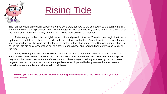

The hunt for fossils on the long pebbly shore had gone well, but now as the sun began to dip behind the cliff, Peter felt cold and a long way from home. Even though the rock samples they carried in their bags were small, the total weight made them heavy and this had slowed them down in the last hour.

Peter stopped, pulled his coat tightly around him and gazed out to sea. The wind was beginning to whip up the waves and they crashed even louder onto the rocks in front of him. Spray flew into the air and foamy water washed around the large grey boulders. His sister Bethany had wandered a little way ahead of him. He called the little girl back, encouraged her to button up her raincoat and reminded her to stay close to him all the time.

Away to his right he watched for several moments as the sea rushed in towards the base of the cliff. Each wave seemed to move closer to the rocks and soon, if the tide continued to come in with such speed, they would become cut off from the safety of the sandy beach beyond. Taking his sister by the hand, Peter began to quicken the pace but the rocks and pebbles were slippery with damp seaweed and on several occasions they stumbled and almost fell in their haste.

❖ **How do you think the children would be feeling in a situation like this? How would you feel personally?**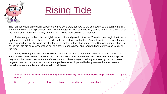

The hunt for fossils on the long pebbly shore had gone well, but now as the sun began to dip behind the cliff, Peter felt cold and a long way from home. Even though the rock samples they carried in their bags were small, the total weight made them heavy and this had slowed them down in the last hour.

Peter stopped, pulled his coat tightly around him and gazed out to sea. The wind was beginning to whip up the waves and they crashed even louder onto the rocks in front of him. Spray flew into the air and foamy water washed around the large grey boulders. His sister Bethany had wandered a little way ahead of him. He called the little girl back, encouraged her to button up her raincoat and reminded her to stay close to him all the time.

Away to his right he watched for several moments as the sea rushed in towards the base of the cliff. Each wave seemed to move closer to the rocks and soon, if the tide continued to come in with such speed, they would become cut off from the safety of the sandy beach beyond. Taking his sister by the hand, Peter began to quicken the pace but the rocks and pebbles were slippery with damp seaweed and on several occasions they stumbled and almost fell in their haste.

- ❖ **Look at the words listed below that appear in the story. What other words might be used to replace them?**
- ❖ **dip gazed flew base boulders stumbled**